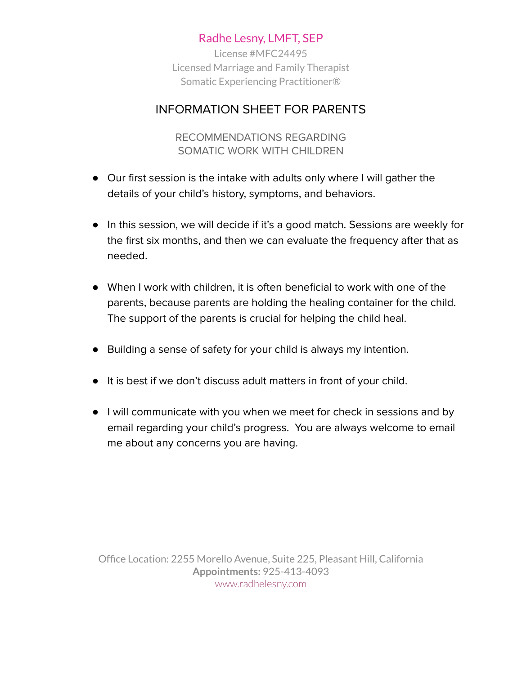License #MFC24495 Licensed Marriage and Family Therapist Somatic Experiencing Practitioner®

#### INFORMATION SHEET FOR PARENTS

RECOMMENDATIONS REGARDING SOMATIC WORK WITH CHILDREN

- Our first session is the intake with adults only where I will gather the details of your child's history, symptoms, and behaviors.
- In this session, we will decide if it's a good match. Sessions are weekly for the first six months, and then we can evaluate the frequency after that as needed.
- When I work with children, it is often beneficial to work with one of the parents, because parents are holding the healing container for the child. The support of the parents is crucial for helping the child heal.
- Building a sense of safety for your child is always my intention.
- It is best if we don't discuss adult matters in front of your child.
- I will communicate with you when we meet for check in sessions and by email regarding your child's progress. You are always welcome to email me about any concerns you are having.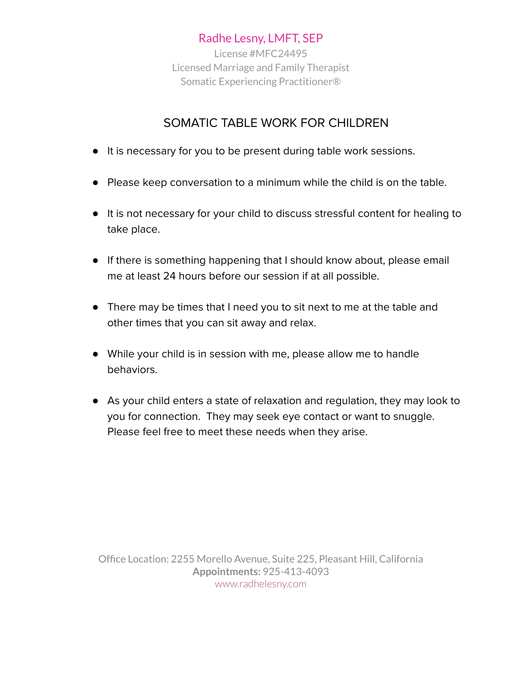License #MFC24495 Licensed Marriage and Family Therapist Somatic Experiencing Practitioner®

# SOMATIC TABLE WORK FOR CHILDREN

- It is necessary for you to be present during table work sessions.
- Please keep conversation to a minimum while the child is on the table.
- It is not necessary for your child to discuss stressful content for healing to take place.
- If there is something happening that I should know about, please email me at least 24 hours before our session if at all possible.
- There may be times that I need you to sit next to me at the table and other times that you can sit away and relax.
- While your child is in session with me, please allow me to handle behaviors.
- As your child enters a state of relaxation and regulation, they may look to you for connection. They may seek eye contact or want to snuggle. Please feel free to meet these needs when they arise.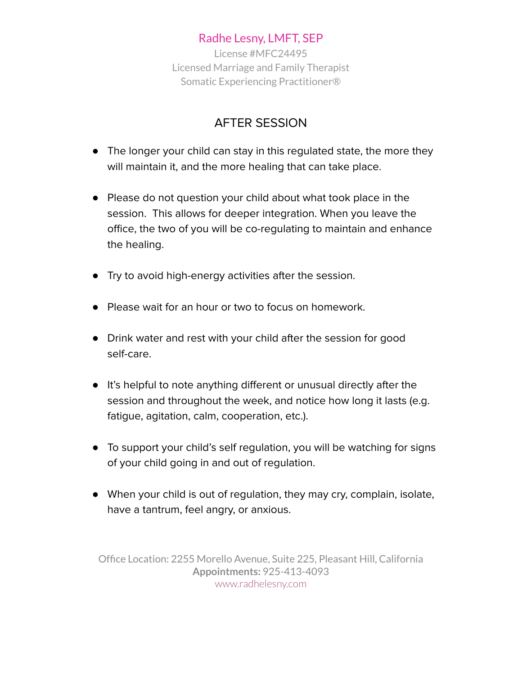License #MFC24495 Licensed Marriage and Family Therapist Somatic Experiencing Practitioner®

# AFTER SESSION

- The longer your child can stay in this regulated state, the more they will maintain it, and the more healing that can take place.
- Please do not question your child about what took place in the session. This allows for deeper integration. When you leave the office, the two of you will be co-regulating to maintain and enhance the healing.
- Try to avoid high-energy activities after the session.
- Please wait for an hour or two to focus on homework.
- Drink water and rest with your child after the session for good self-care.
- It's helpful to note anything different or unusual directly after the session and throughout the week, and notice how long it lasts (e.g. fatigue, agitation, calm, cooperation, etc.).
- To support your child's self regulation, you will be watching for signs of your child going in and out of regulation.
- When your child is out of regulation, they may cry, complain, isolate, have a tantrum, feel angry, or anxious.